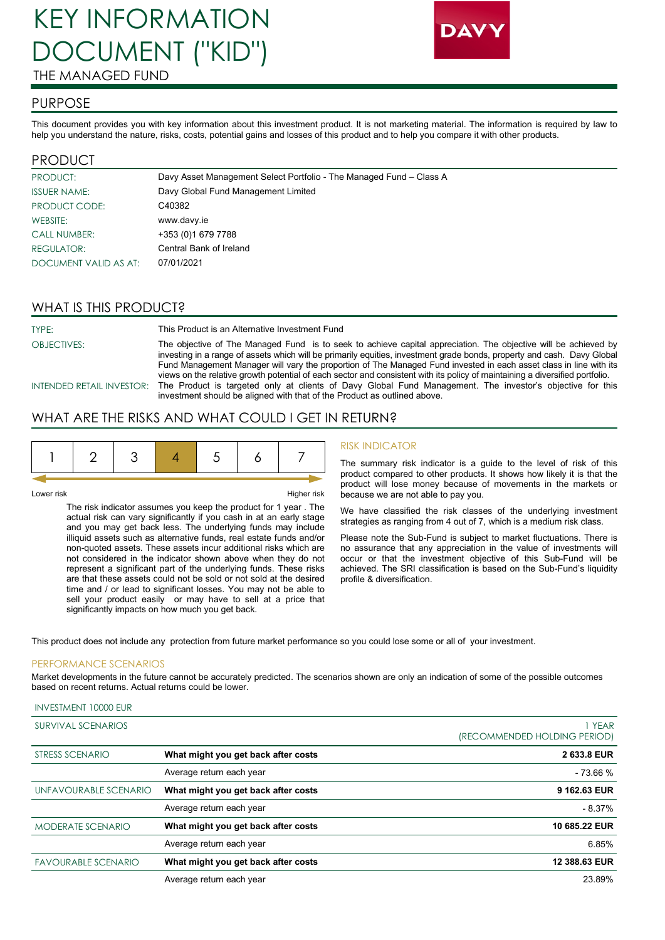# KEY INFORMATION DOCUMENT ("KID") THE MANAGED FUND



#### PURPOSE

This document provides you with key information about this investment product. It is not marketing material. The information is required by law to help you understand the nature, risks, costs, potential gains and losses of this product and to help you compare it with other products.

# PRODUCT

| PRODUCT:              | Davy Asset Management Select Portfolio - The Managed Fund - Class A |
|-----------------------|---------------------------------------------------------------------|
| <b>ISSUER NAME:</b>   | Davy Global Fund Management Limited                                 |
| PRODUCT CODE:         | C40382                                                              |
| WEBSITE:              | www.davy.ie                                                         |
| <b>CALL NUMBER:</b>   | +353 (0) 1679 7788                                                  |
| <b>REGULATOR:</b>     | Central Bank of Ireland                                             |
| DOCUMENT VALID AS AT: | 07/01/2021                                                          |

# WHAT IS THIS PRODUCT?

| TYPE:              | This Product is an Alternative Investment Fund                                                                                                                                                                                                     |
|--------------------|----------------------------------------------------------------------------------------------------------------------------------------------------------------------------------------------------------------------------------------------------|
| <b>OBJECTIVES:</b> | The objective of The Managed Fund is to seek to achieve capital appreciation. The objective will be achieved by<br>investing in a range of assets which will be primarily equities, investment grade bonds, property and cash. Davy Global         |
|                    | Fund Management Manager will vary the proportion of The Managed Fund invested in each asset class in line with its<br>views on the relative growth potential of each sector and consistent with its policy of maintaining a diversified portfolio. |
|                    | INTENDED RETAIL INVESTOR: The Product is targeted only at clients of Davy Global Fund Management. The investor's objective for this<br>investment should be aligned with that of the Product as outlined above.                                    |

#### WHAT ARE THE RISKS AND WHAT COULD I GET IN RETURN?

|--|--|--|--|--|--|--|--|

Lower risk Fight Research Australian Control of the Higher risk Higher risk

The risk indicator assumes you keep the product for 1 year . The actual risk can vary significantly if you cash in at an early stage and you may get back less. The underlying funds may include illiquid assets such as alternative funds, real estate funds and/or non-quoted assets. These assets incur additional risks which are not considered in the indicator shown above when they do not represent a significant part of the underlying funds. These risks are that these assets could not be sold or not sold at the desired time and / or lead to significant losses. You may not be able to sell your product easily or may have to sell at a price that significantly impacts on how much you get back.

#### RISK INDICATOR

The summary risk indicator is a guide to the level of risk of this product compared to other products. It shows how likely it is that the product will lose money because of movements in the markets or because we are not able to pay you.

We have classified the risk classes of the underlying investment strategies as ranging from 4 out of 7, which is a medium risk class.

Please note the Sub-Fund is subject to market fluctuations. There is no assurance that any appreciation in the value of investments will occur or that the investment objective of this Sub-Fund will be achieved. The SRI classification is based on the Sub-Fund's liquidity profile & diversification.

This product does not include any protection from future market performance so you could lose some or all of your investment.

#### PERFORMANCE SCENARIOS

Market developments in the future cannot be accurately predicted. The scenarios shown are only an indication of some of the possible outcomes based on recent returns. Actual returns could be lower.

| <b>SURVIVAL SCENARIOS</b>  |                                     | I YEAR                       |
|----------------------------|-------------------------------------|------------------------------|
|                            |                                     | (RECOMMENDED HOLDING PERIOD) |
| STRESS SCENARIO            | What might you get back after costs | 2 633.8 EUR                  |
|                            | Average return each year            | $-73.66%$                    |
| UNFAVOURABLE SCENARIO      | What might you get back after costs | 9 162.63 EUR                 |
|                            | Average return each year            | $-8.37%$                     |
| <b>MODERATE SCENARIO</b>   | What might you get back after costs | 10 685.22 EUR                |
|                            | Average return each year            | 6.85%                        |
| <b>FAVOURABLE SCENARIO</b> | What might you get back after costs | 12 388.63 EUR                |
|                            | Average return each year            | 23.89%                       |